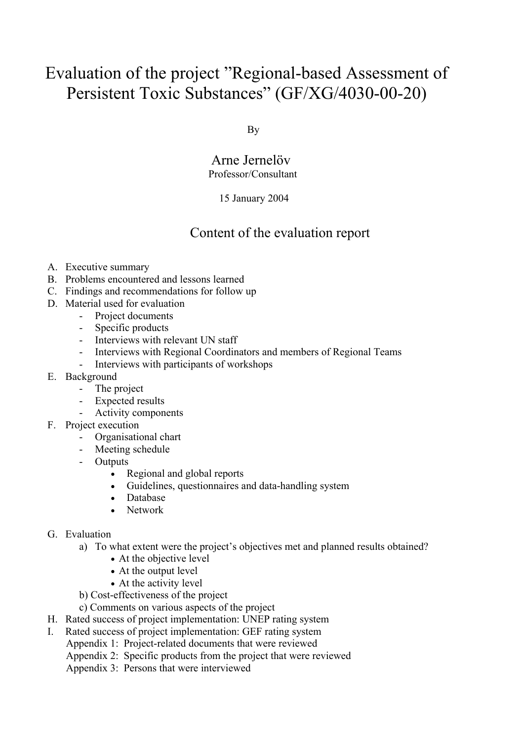# Evaluation of the project "Regional-based Assessment of Persistent Toxic Substances" (GF/XG/4030-00-20)

By

#### Arne Jernelöv Professor/Consultant

#### 15 January 2004

### Content of the evaluation report

- A. Executive summary
- B. Problems encountered and lessons learned
- C. Findings and recommendations for follow up
- D. Material used for evaluation
	- Project documents
	- Specific products
	- Interviews with relevant UN staff
	- Interviews with Regional Coordinators and members of Regional Teams
	- Interviews with participants of workshops
- E. Background
	- The project
	- Expected results
	- Activity components
- F. Project execution
	- Organisational chart
	- Meeting schedule
	- Outputs
		- Regional and global reports
		- Guidelines, questionnaires and data-handling system
		- Database
		- Network
- G. Evaluation
	- a) To what extent were the project's objectives met and planned results obtained?
		- At the objective level
		- At the output level
		- At the activity level
	- b) Cost-effectiveness of the project
	- c) Comments on various aspects of the project
- H. Rated success of project implementation: UNEP rating system
- I. Rated success of project implementation: GEF rating system
	- Appendix 1: Project-related documents that were reviewed
	- Appendix 2: Specific products from the project that were reviewed
	- Appendix 3: Persons that were interviewed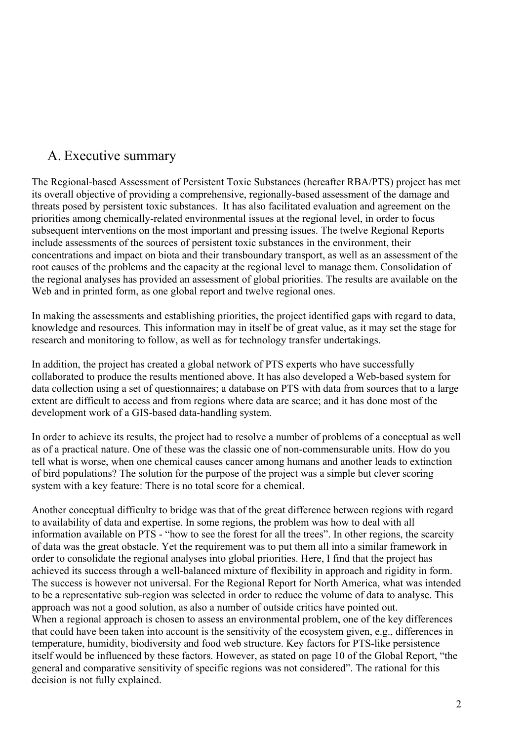### A. Executive summary

The Regional-based Assessment of Persistent Toxic Substances (hereafter RBA/PTS) project has met its overall objective of providing a comprehensive, regionally-based assessment of the damage and threats posed by persistent toxic substances. It has also facilitated evaluation and agreement on the priorities among chemically-related environmental issues at the regional level, in order to focus subsequent interventions on the most important and pressing issues. The twelve Regional Reports include assessments of the sources of persistent toxic substances in the environment, their concentrations and impact on biota and their transboundary transport, as well as an assessment of the root causes of the problems and the capacity at the regional level to manage them. Consolidation of the regional analyses has provided an assessment of global priorities. The results are available on the Web and in printed form, as one global report and twelve regional ones.

In making the assessments and establishing priorities, the project identified gaps with regard to data, knowledge and resources. This information may in itself be of great value, as it may set the stage for research and monitoring to follow, as well as for technology transfer undertakings.

In addition, the project has created a global network of PTS experts who have successfully collaborated to produce the results mentioned above. It has also developed a Web-based system for data collection using a set of questionnaires; a database on PTS with data from sources that to a large extent are difficult to access and from regions where data are scarce; and it has done most of the development work of a GIS-based data-handling system.

In order to achieve its results, the project had to resolve a number of problems of a conceptual as well as of a practical nature. One of these was the classic one of non-commensurable units. How do you tell what is worse, when one chemical causes cancer among humans and another leads to extinction of bird populations? The solution for the purpose of the project was a simple but clever scoring system with a key feature: There is no total score for a chemical.

Another conceptual difficulty to bridge was that of the great difference between regions with regard to availability of data and expertise. In some regions, the problem was how to deal with all information available on PTS - "how to see the forest for all the trees". In other regions, the scarcity of data was the great obstacle. Yet the requirement was to put them all into a similar framework in order to consolidate the regional analyses into global priorities. Here, I find that the project has achieved its success through a well-balanced mixture of flexibility in approach and rigidity in form. The success is however not universal. For the Regional Report for North America, what was intended to be a representative sub-region was selected in order to reduce the volume of data to analyse. This approach was not a good solution, as also a number of outside critics have pointed out. When a regional approach is chosen to assess an environmental problem, one of the key differences that could have been taken into account is the sensitivity of the ecosystem given, e.g., differences in temperature, humidity, biodiversity and food web structure. Key factors for PTS-like persistence itself would be influenced by these factors. However, as stated on page 10 of the Global Report, "the general and comparative sensitivity of specific regions was not considered". The rational for this decision is not fully explained.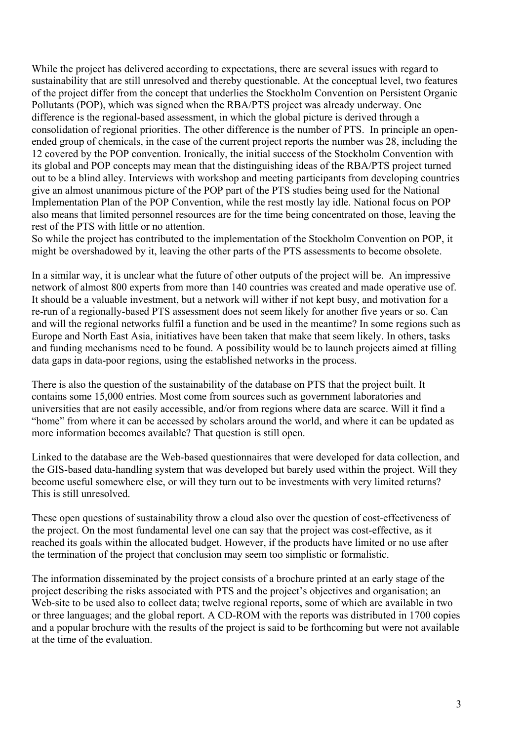While the project has delivered according to expectations, there are several issues with regard to sustainability that are still unresolved and thereby questionable. At the conceptual level, two features of the project differ from the concept that underlies the Stockholm Convention on Persistent Organic Pollutants (POP), which was signed when the RBA/PTS project was already underway. One difference is the regional-based assessment, in which the global picture is derived through a consolidation of regional priorities. The other difference is the number of PTS. In principle an openended group of chemicals, in the case of the current project reports the number was 28, including the 12 covered by the POP convention. Ironically, the initial success of the Stockholm Convention with its global and POP concepts may mean that the distinguishing ideas of the RBA/PTS project turned out to be a blind alley. Interviews with workshop and meeting participants from developing countries give an almost unanimous picture of the POP part of the PTS studies being used for the National Implementation Plan of the POP Convention, while the rest mostly lay idle. National focus on POP also means that limited personnel resources are for the time being concentrated on those, leaving the rest of the PTS with little or no attention.

So while the project has contributed to the implementation of the Stockholm Convention on POP, it might be overshadowed by it, leaving the other parts of the PTS assessments to become obsolete.

In a similar way, it is unclear what the future of other outputs of the project will be. An impressive network of almost 800 experts from more than 140 countries was created and made operative use of. It should be a valuable investment, but a network will wither if not kept busy, and motivation for a re-run of a regionally-based PTS assessment does not seem likely for another five years or so. Can and will the regional networks fulfil a function and be used in the meantime? In some regions such as Europe and North East Asia, initiatives have been taken that make that seem likely. In others, tasks and funding mechanisms need to be found. A possibility would be to launch projects aimed at filling data gaps in data-poor regions, using the established networks in the process.

There is also the question of the sustainability of the database on PTS that the project built. It contains some 15,000 entries. Most come from sources such as government laboratories and universities that are not easily accessible, and/or from regions where data are scarce. Will it find a "home" from where it can be accessed by scholars around the world, and where it can be updated as more information becomes available? That question is still open.

Linked to the database are the Web-based questionnaires that were developed for data collection, and the GIS-based data-handling system that was developed but barely used within the project. Will they become useful somewhere else, or will they turn out to be investments with very limited returns? This is still unresolved.

These open questions of sustainability throw a cloud also over the question of cost-effectiveness of the project. On the most fundamental level one can say that the project was cost-effective, as it reached its goals within the allocated budget. However, if the products have limited or no use after the termination of the project that conclusion may seem too simplistic or formalistic.

The information disseminated by the project consists of a brochure printed at an early stage of the project describing the risks associated with PTS and the project's objectives and organisation; an Web-site to be used also to collect data; twelve regional reports, some of which are available in two or three languages; and the global report. A CD-ROM with the reports was distributed in 1700 copies and a popular brochure with the results of the project is said to be forthcoming but were not available at the time of the evaluation.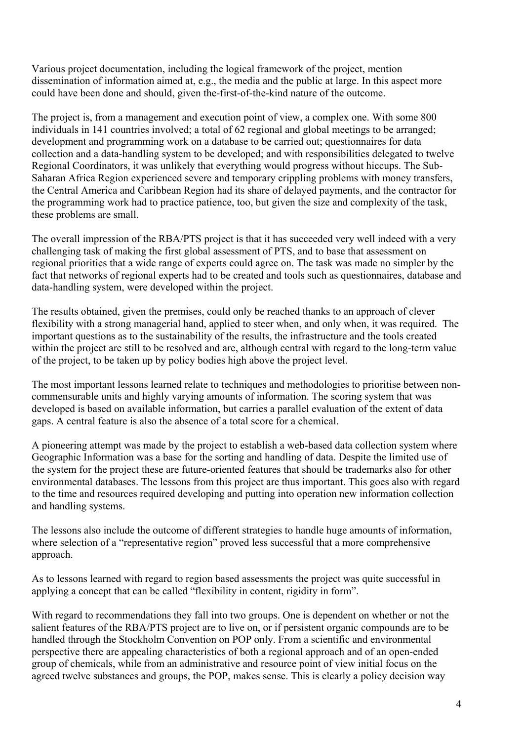Various project documentation, including the logical framework of the project, mention dissemination of information aimed at, e.g., the media and the public at large. In this aspect more could have been done and should, given the-first-of-the-kind nature of the outcome.

The project is, from a management and execution point of view, a complex one. With some 800 individuals in 141 countries involved; a total of 62 regional and global meetings to be arranged; development and programming work on a database to be carried out; questionnaires for data collection and a data-handling system to be developed; and with responsibilities delegated to twelve Regional Coordinators, it was unlikely that everything would progress without hiccups. The Sub-Saharan Africa Region experienced severe and temporary crippling problems with money transfers, the Central America and Caribbean Region had its share of delayed payments, and the contractor for the programming work had to practice patience, too, but given the size and complexity of the task, these problems are small.

The overall impression of the RBA/PTS project is that it has succeeded very well indeed with a very challenging task of making the first global assessment of PTS, and to base that assessment on regional priorities that a wide range of experts could agree on. The task was made no simpler by the fact that networks of regional experts had to be created and tools such as questionnaires, database and data-handling system, were developed within the project.

The results obtained, given the premises, could only be reached thanks to an approach of clever flexibility with a strong managerial hand, applied to steer when, and only when, it was required. The important questions as to the sustainability of the results, the infrastructure and the tools created within the project are still to be resolved and are, although central with regard to the long-term value of the project, to be taken up by policy bodies high above the project level.

The most important lessons learned relate to techniques and methodologies to prioritise between noncommensurable units and highly varying amounts of information. The scoring system that was developed is based on available information, but carries a parallel evaluation of the extent of data gaps. A central feature is also the absence of a total score for a chemical.

A pioneering attempt was made by the project to establish a web-based data collection system where Geographic Information was a base for the sorting and handling of data. Despite the limited use of the system for the project these are future-oriented features that should be trademarks also for other environmental databases. The lessons from this project are thus important. This goes also with regard to the time and resources required developing and putting into operation new information collection and handling systems.

The lessons also include the outcome of different strategies to handle huge amounts of information, where selection of a "representative region" proved less successful that a more comprehensive approach.

As to lessons learned with regard to region based assessments the project was quite successful in applying a concept that can be called "flexibility in content, rigidity in form".

With regard to recommendations they fall into two groups. One is dependent on whether or not the salient features of the RBA/PTS project are to live on, or if persistent organic compounds are to be handled through the Stockholm Convention on POP only. From a scientific and environmental perspective there are appealing characteristics of both a regional approach and of an open-ended group of chemicals, while from an administrative and resource point of view initial focus on the agreed twelve substances and groups, the POP, makes sense. This is clearly a policy decision way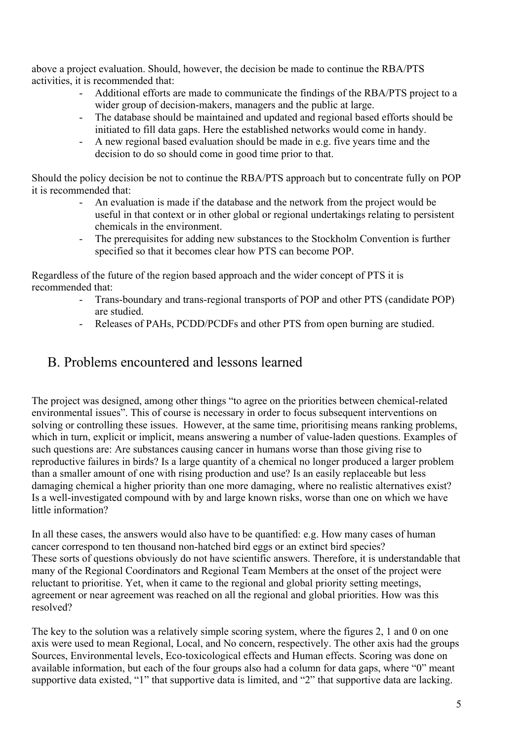above a project evaluation. Should, however, the decision be made to continue the RBA/PTS activities, it is recommended that:

- Additional efforts are made to communicate the findings of the RBA/PTS project to a wider group of decision-makers, managers and the public at large.
- The database should be maintained and updated and regional based efforts should be initiated to fill data gaps. Here the established networks would come in handy.
- A new regional based evaluation should be made in e.g. five years time and the decision to do so should come in good time prior to that.

Should the policy decision be not to continue the RBA/PTS approach but to concentrate fully on POP it is recommended that:

- An evaluation is made if the database and the network from the project would be useful in that context or in other global or regional undertakings relating to persistent chemicals in the environment.
- The prerequisites for adding new substances to the Stockholm Convention is further specified so that it becomes clear how PTS can become POP.

Regardless of the future of the region based approach and the wider concept of PTS it is recommended that:

- Trans-boundary and trans-regional transports of POP and other PTS (candidate POP) are studied.
- Releases of PAHs, PCDD/PCDFs and other PTS from open burning are studied.

### B. Problems encountered and lessons learned

The project was designed, among other things "to agree on the priorities between chemical-related environmental issues". This of course is necessary in order to focus subsequent interventions on solving or controlling these issues. However, at the same time, prioritising means ranking problems, which in turn, explicit or implicit, means answering a number of value-laden questions. Examples of such questions are: Are substances causing cancer in humans worse than those giving rise to reproductive failures in birds? Is a large quantity of a chemical no longer produced a larger problem than a smaller amount of one with rising production and use? Is an easily replaceable but less damaging chemical a higher priority than one more damaging, where no realistic alternatives exist? Is a well-investigated compound with by and large known risks, worse than one on which we have little information?

In all these cases, the answers would also have to be quantified: e.g. How many cases of human cancer correspond to ten thousand non-hatched bird eggs or an extinct bird species? These sorts of questions obviously do not have scientific answers. Therefore, it is understandable that many of the Regional Coordinators and Regional Team Members at the onset of the project were reluctant to prioritise. Yet, when it came to the regional and global priority setting meetings, agreement or near agreement was reached on all the regional and global priorities. How was this resolved?

The key to the solution was a relatively simple scoring system, where the figures 2, 1 and 0 on one axis were used to mean Regional, Local, and No concern, respectively. The other axis had the groups Sources, Environmental levels, Eco-toxicological effects and Human effects. Scoring was done on available information, but each of the four groups also had a column for data gaps, where "0" meant supportive data existed, "1" that supportive data is limited, and "2" that supportive data are lacking.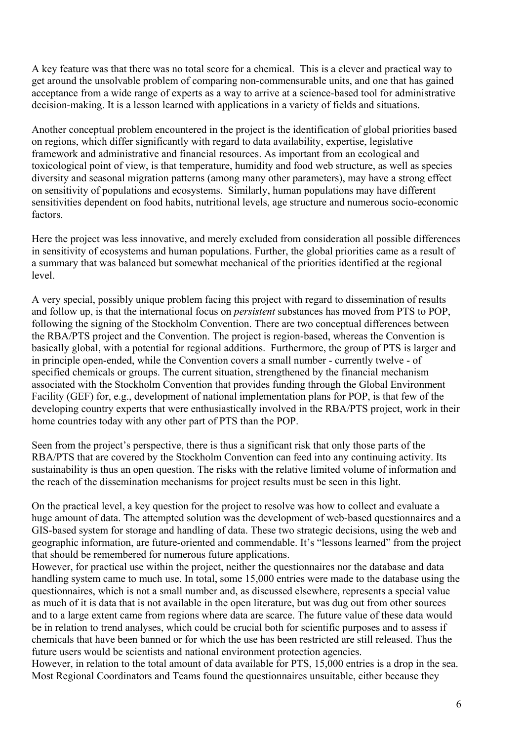A key feature was that there was no total score for a chemical. This is a clever and practical way to get around the unsolvable problem of comparing non-commensurable units, and one that has gained acceptance from a wide range of experts as a way to arrive at a science-based tool for administrative decision-making. It is a lesson learned with applications in a variety of fields and situations.

Another conceptual problem encountered in the project is the identification of global priorities based on regions, which differ significantly with regard to data availability, expertise, legislative framework and administrative and financial resources. As important from an ecological and toxicological point of view, is that temperature, humidity and food web structure, as well as species diversity and seasonal migration patterns (among many other parameters), may have a strong effect on sensitivity of populations and ecosystems. Similarly, human populations may have different sensitivities dependent on food habits, nutritional levels, age structure and numerous socio-economic factors.

Here the project was less innovative, and merely excluded from consideration all possible differences in sensitivity of ecosystems and human populations. Further, the global priorities came as a result of a summary that was balanced but somewhat mechanical of the priorities identified at the regional level.

A very special, possibly unique problem facing this project with regard to dissemination of results and follow up, is that the international focus on *persistent* substances has moved from PTS to POP, following the signing of the Stockholm Convention. There are two conceptual differences between the RBA/PTS project and the Convention. The project is region-based, whereas the Convention is basically global, with a potential for regional additions. Furthermore, the group of PTS is larger and in principle open-ended, while the Convention covers a small number - currently twelve - of specified chemicals or groups. The current situation, strengthened by the financial mechanism associated with the Stockholm Convention that provides funding through the Global Environment Facility (GEF) for, e.g., development of national implementation plans for POP, is that few of the developing country experts that were enthusiastically involved in the RBA/PTS project, work in their home countries today with any other part of PTS than the POP.

Seen from the project's perspective, there is thus a significant risk that only those parts of the RBA/PTS that are covered by the Stockholm Convention can feed into any continuing activity. Its sustainability is thus an open question. The risks with the relative limited volume of information and the reach of the dissemination mechanisms for project results must be seen in this light.

On the practical level, a key question for the project to resolve was how to collect and evaluate a huge amount of data. The attempted solution was the development of web-based questionnaires and a GIS-based system for storage and handling of data. These two strategic decisions, using the web and geographic information, are future-oriented and commendable. It's "lessons learned" from the project that should be remembered for numerous future applications.

However, for practical use within the project, neither the questionnaires nor the database and data handling system came to much use. In total, some 15,000 entries were made to the database using the questionnaires, which is not a small number and, as discussed elsewhere, represents a special value as much of it is data that is not available in the open literature, but was dug out from other sources and to a large extent came from regions where data are scarce. The future value of these data would be in relation to trend analyses, which could be crucial both for scientific purposes and to assess if chemicals that have been banned or for which the use has been restricted are still released. Thus the future users would be scientists and national environment protection agencies.

However, in relation to the total amount of data available for PTS, 15,000 entries is a drop in the sea. Most Regional Coordinators and Teams found the questionnaires unsuitable, either because they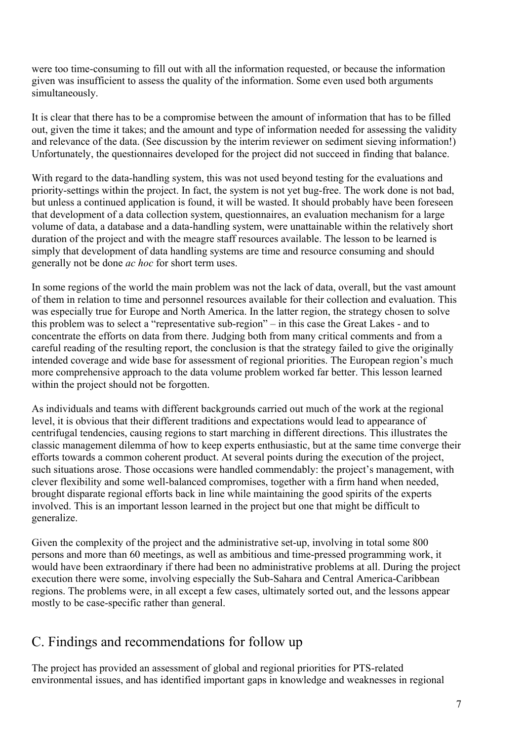were too time-consuming to fill out with all the information requested, or because the information given was insufficient to assess the quality of the information. Some even used both arguments simultaneously.

It is clear that there has to be a compromise between the amount of information that has to be filled out, given the time it takes; and the amount and type of information needed for assessing the validity and relevance of the data. (See discussion by the interim reviewer on sediment sieving information!) Unfortunately, the questionnaires developed for the project did not succeed in finding that balance.

With regard to the data-handling system, this was not used beyond testing for the evaluations and priority-settings within the project. In fact, the system is not yet bug-free. The work done is not bad, but unless a continued application is found, it will be wasted. It should probably have been foreseen that development of a data collection system, questionnaires, an evaluation mechanism for a large volume of data, a database and a data-handling system, were unattainable within the relatively short duration of the project and with the meagre staff resources available. The lesson to be learned is simply that development of data handling systems are time and resource consuming and should generally not be done *ac hoc* for short term uses.

In some regions of the world the main problem was not the lack of data, overall, but the vast amount of them in relation to time and personnel resources available for their collection and evaluation. This was especially true for Europe and North America. In the latter region, the strategy chosen to solve this problem was to select a "representative sub-region" – in this case the Great Lakes - and to concentrate the efforts on data from there. Judging both from many critical comments and from a careful reading of the resulting report, the conclusion is that the strategy failed to give the originally intended coverage and wide base for assessment of regional priorities. The European region's much more comprehensive approach to the data volume problem worked far better. This lesson learned within the project should not be forgotten.

As individuals and teams with different backgrounds carried out much of the work at the regional level, it is obvious that their different traditions and expectations would lead to appearance of centrifugal tendencies, causing regions to start marching in different directions. This illustrates the classic management dilemma of how to keep experts enthusiastic, but at the same time converge their efforts towards a common coherent product. At several points during the execution of the project, such situations arose. Those occasions were handled commendably: the project's management, with clever flexibility and some well-balanced compromises, together with a firm hand when needed, brought disparate regional efforts back in line while maintaining the good spirits of the experts involved. This is an important lesson learned in the project but one that might be difficult to generalize.

Given the complexity of the project and the administrative set-up, involving in total some 800 persons and more than 60 meetings, as well as ambitious and time-pressed programming work, it would have been extraordinary if there had been no administrative problems at all. During the project execution there were some, involving especially the Sub-Sahara and Central America-Caribbean regions. The problems were, in all except a few cases, ultimately sorted out, and the lessons appear mostly to be case-specific rather than general.

### C. Findings and recommendations for follow up

The project has provided an assessment of global and regional priorities for PTS-related environmental issues, and has identified important gaps in knowledge and weaknesses in regional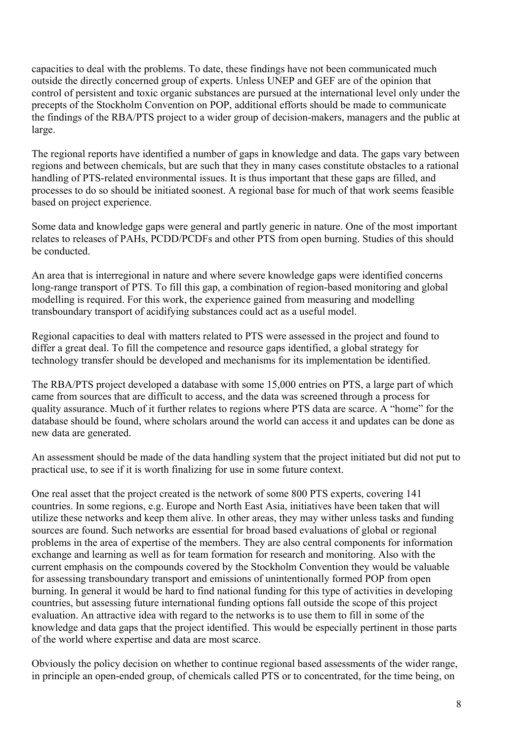capacities to deal with the problems. To date, these findings have not been communicated much outside the directly concerned group of experts. Unless UNEP and GEF are of the opinion that control of persistent and toxic organic substances are pursued at the international level only under the precepts of the Stockholm Convention on POP, additional efforts should be made to communicate the findings of the RBA/PTS project to a wider group of decision-makers, managers and the public at large.

The regional reports have identified a number of gaps in knowledge and data. The gaps vary between regions and between chemicals, but are such that they in many cases constitute obstacles to a rational handling of PTS-related environmental issues. It is thus important that these gaps are filled, and processes to do so should be initiated soonest. A regional base for much of that work seems feasible based on project experience.

Some data and knowledge gaps were general and partly generic in nature. One of the most important relates to releases of PAHs, PCDD/PCDFs and other PTS from open burning. Studies of this should be conducted.

An area that is interregional in nature and where severe knowledge gaps were identified concerns long-range transport of PTS. To fill this gap, a combination of region-based monitoring and global modelling is required. For this work, the experience gained from measuring and modelling transboundary transport of acidifying substances could act as a useful model.

Regional capacities to deal with matters related to PTS were assessed in the project and found to differ a great deal. To fill the competence and resource gaps identified, a global strategy for technology transfer should be developed and mechanisms for its implementation be identified.

The RBA/PTS project developed a database with some 15,000 entries on PTS, a large part of which came from sources that are difficult to access, and the data was screened through a process for quality assurance. Much of it further relates to regions where PTS data are scarce. A "home" for the database should be found, where scholars around the world can access it and updates can be done as new data are generated.

An assessment should be made of the data handling system that the project initiated but did not put to practical use, to see if it is worth finalizing for use in some future context.

One real asset that the project created is the network of some 800 PTS experts, covering 141 countries. In some regions, e.g. Europe and North East Asia, initiatives have been taken that will utilize these networks and keep them alive. In other areas, they may wither unless tasks and funding sources are found. Such networks are essential for broad based evaluations of global or regional problems in the area of expertise of the members. They are also central components for information exchange and learning as well as for team formation for research and monitoring. Also with the current emphasis on the compounds covered by the Stockholm Convention they would be valuable for assessing transboundary transport and emissions of unintentionally formed POP from open burning. In general it would be hard to find national funding for this type of activities in developing countries, but assessing future international funding options fall outside the scope of this project evaluation. An attractive idea with regard to the networks is to use them to fill in some of the knowledge and data gaps that the project identified. This would be especially pertinent in those parts of the world where expertise and data are most scarce.

Obviously the policy decision on whether to continue regional based assessments of the wider range, in principle an open-ended group, of chemicals called PTS or to concentrated, for the time being, on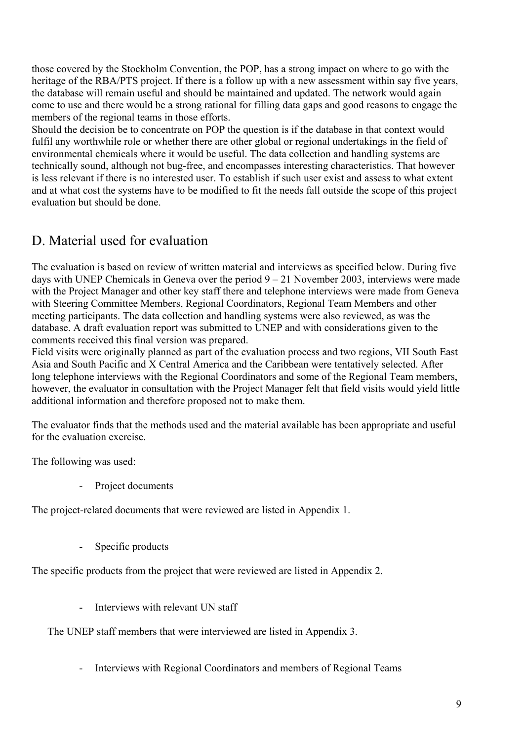those covered by the Stockholm Convention, the POP, has a strong impact on where to go with the heritage of the RBA/PTS project. If there is a follow up with a new assessment within say five years, the database will remain useful and should be maintained and updated. The network would again come to use and there would be a strong rational for filling data gaps and good reasons to engage the members of the regional teams in those efforts.

Should the decision be to concentrate on POP the question is if the database in that context would fulfil any worthwhile role or whether there are other global or regional undertakings in the field of environmental chemicals where it would be useful. The data collection and handling systems are technically sound, although not bug-free, and encompasses interesting characteristics. That however is less relevant if there is no interested user. To establish if such user exist and assess to what extent and at what cost the systems have to be modified to fit the needs fall outside the scope of this project evaluation but should be done.

### D. Material used for evaluation

The evaluation is based on review of written material and interviews as specified below. During five days with UNEP Chemicals in Geneva over the period  $9 - 21$  November 2003, interviews were made with the Project Manager and other key staff there and telephone interviews were made from Geneva with Steering Committee Members, Regional Coordinators, Regional Team Members and other meeting participants. The data collection and handling systems were also reviewed, as was the database. A draft evaluation report was submitted to UNEP and with considerations given to the comments received this final version was prepared.

Field visits were originally planned as part of the evaluation process and two regions, VII South East Asia and South Pacific and X Central America and the Caribbean were tentatively selected. After long telephone interviews with the Regional Coordinators and some of the Regional Team members, however, the evaluator in consultation with the Project Manager felt that field visits would yield little additional information and therefore proposed not to make them.

The evaluator finds that the methods used and the material available has been appropriate and useful for the evaluation exercise.

The following was used:

- Project documents

The project-related documents that were reviewed are listed in Appendix 1.

- Specific products

The specific products from the project that were reviewed are listed in Appendix 2.

Interviews with relevant IN staff

The UNEP staff members that were interviewed are listed in Appendix 3.

- Interviews with Regional Coordinators and members of Regional Teams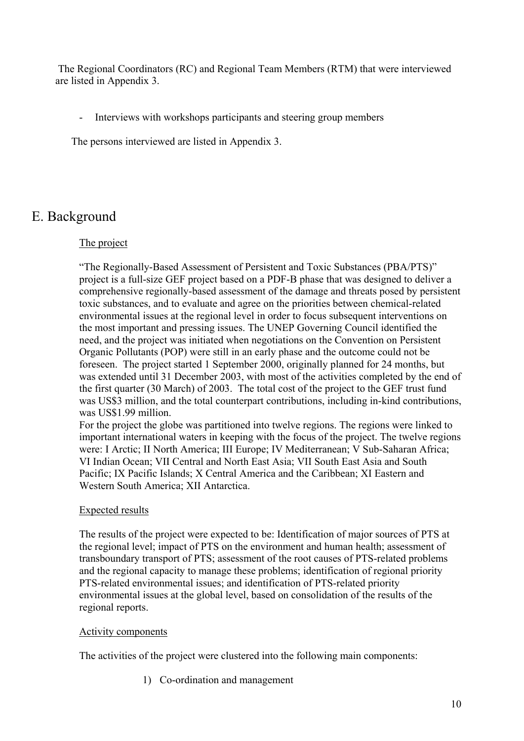The Regional Coordinators (RC) and Regional Team Members (RTM) that were interviewed are listed in Appendix 3.

- Interviews with workshops participants and steering group members

The persons interviewed are listed in Appendix 3.

### E. Background

#### The project

"The Regionally-Based Assessment of Persistent and Toxic Substances (PBA/PTS)" project is a full-size GEF project based on a PDF-B phase that was designed to deliver a comprehensive regionally-based assessment of the damage and threats posed by persistent toxic substances, and to evaluate and agree on the priorities between chemical-related environmental issues at the regional level in order to focus subsequent interventions on the most important and pressing issues. The UNEP Governing Council identified the need, and the project was initiated when negotiations on the Convention on Persistent Organic Pollutants (POP) were still in an early phase and the outcome could not be foreseen. The project started 1 September 2000, originally planned for 24 months, but was extended until 31 December 2003, with most of the activities completed by the end of the first quarter (30 March) of 2003. The total cost of the project to the GEF trust fund was US\$3 million, and the total counterpart contributions, including in-kind contributions, was US\$1.99 million.

For the project the globe was partitioned into twelve regions. The regions were linked to important international waters in keeping with the focus of the project. The twelve regions were: I Arctic; II North America; III Europe; IV Mediterranean; V Sub-Saharan Africa; VI Indian Ocean; VII Central and North East Asia; VII South East Asia and South Pacific; IX Pacific Islands; X Central America and the Caribbean; XI Eastern and Western South America; XII Antarctica.

#### Expected results

The results of the project were expected to be: Identification of major sources of PTS at the regional level; impact of PTS on the environment and human health; assessment of transboundary transport of PTS; assessment of the root causes of PTS-related problems and the regional capacity to manage these problems; identification of regional priority PTS-related environmental issues; and identification of PTS-related priority environmental issues at the global level, based on consolidation of the results of the regional reports.

#### Activity components

The activities of the project were clustered into the following main components:

1) Co-ordination and management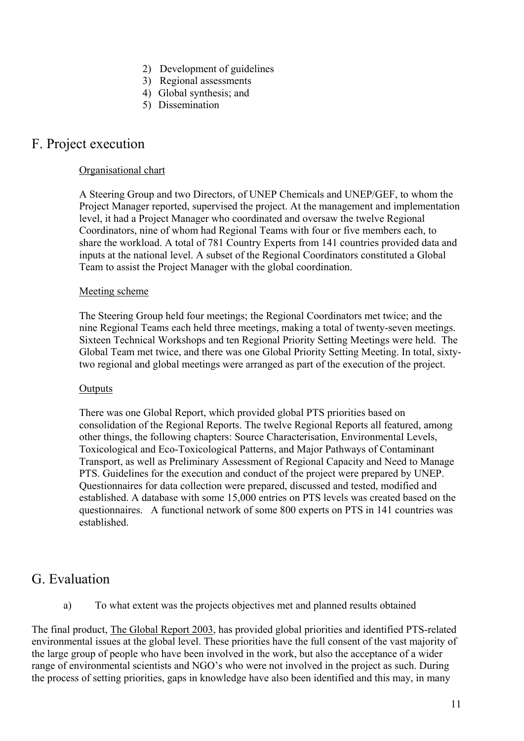- 2) Development of guidelines
- 3) Regional assessments
- 4) Global synthesis; and
- 5) Dissemination

### F. Project execution

#### Organisational chart

A Steering Group and two Directors, of UNEP Chemicals and UNEP/GEF, to whom the Project Manager reported, supervised the project. At the management and implementation level, it had a Project Manager who coordinated and oversaw the twelve Regional Coordinators, nine of whom had Regional Teams with four or five members each, to share the workload. A total of 781 Country Experts from 141 countries provided data and inputs at the national level. A subset of the Regional Coordinators constituted a Global Team to assist the Project Manager with the global coordination.

#### Meeting scheme

The Steering Group held four meetings; the Regional Coordinators met twice; and the nine Regional Teams each held three meetings, making a total of twenty-seven meetings. Sixteen Technical Workshops and ten Regional Priority Setting Meetings were held. The Global Team met twice, and there was one Global Priority Setting Meeting. In total, sixtytwo regional and global meetings were arranged as part of the execution of the project.

#### **Outputs**

There was one Global Report, which provided global PTS priorities based on consolidation of the Regional Reports. The twelve Regional Reports all featured, among other things, the following chapters: Source Characterisation, Environmental Levels, Toxicological and Eco-Toxicological Patterns, and Major Pathways of Contaminant Transport, as well as Preliminary Assessment of Regional Capacity and Need to Manage PTS. Guidelines for the execution and conduct of the project were prepared by UNEP. Questionnaires for data collection were prepared, discussed and tested, modified and established. A database with some 15,000 entries on PTS levels was created based on the questionnaires. A functional network of some 800 experts on PTS in 141 countries was established.

### G. Evaluation

a) To what extent was the projects objectives met and planned results obtained

The final product, The Global Report 2003, has provided global priorities and identified PTS-related environmental issues at the global level. These priorities have the full consent of the vast majority of the large group of people who have been involved in the work, but also the acceptance of a wider range of environmental scientists and NGO's who were not involved in the project as such. During the process of setting priorities, gaps in knowledge have also been identified and this may, in many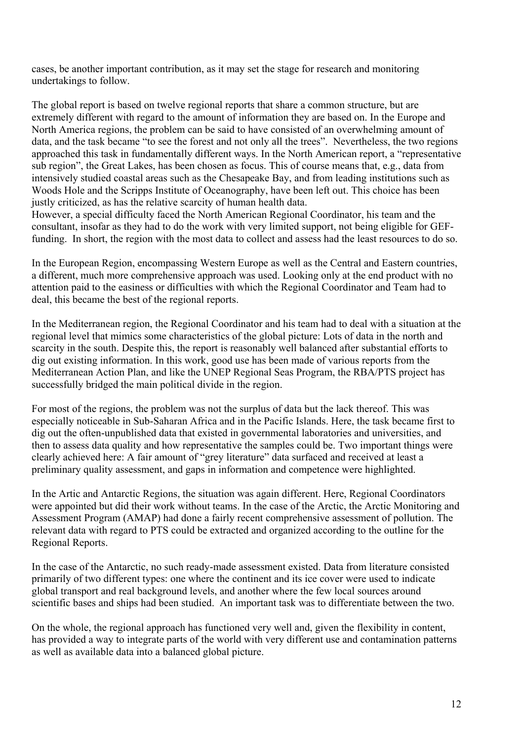cases, be another important contribution, as it may set the stage for research and monitoring undertakings to follow.

The global report is based on twelve regional reports that share a common structure, but are extremely different with regard to the amount of information they are based on. In the Europe and North America regions, the problem can be said to have consisted of an overwhelming amount of data, and the task became "to see the forest and not only all the trees". Nevertheless, the two regions approached this task in fundamentally different ways. In the North American report, a "representative sub region", the Great Lakes, has been chosen as focus. This of course means that, e.g., data from intensively studied coastal areas such as the Chesapeake Bay, and from leading institutions such as Woods Hole and the Scripps Institute of Oceanography, have been left out. This choice has been justly criticized, as has the relative scarcity of human health data.

However, a special difficulty faced the North American Regional Coordinator, his team and the consultant, insofar as they had to do the work with very limited support, not being eligible for GEFfunding. In short, the region with the most data to collect and assess had the least resources to do so.

In the European Region, encompassing Western Europe as well as the Central and Eastern countries, a different, much more comprehensive approach was used. Looking only at the end product with no attention paid to the easiness or difficulties with which the Regional Coordinator and Team had to deal, this became the best of the regional reports.

In the Mediterranean region, the Regional Coordinator and his team had to deal with a situation at the regional level that mimics some characteristics of the global picture: Lots of data in the north and scarcity in the south. Despite this, the report is reasonably well balanced after substantial efforts to dig out existing information. In this work, good use has been made of various reports from the Mediterranean Action Plan, and like the UNEP Regional Seas Program, the RBA/PTS project has successfully bridged the main political divide in the region.

For most of the regions, the problem was not the surplus of data but the lack thereof. This was especially noticeable in Sub-Saharan Africa and in the Pacific Islands. Here, the task became first to dig out the often-unpublished data that existed in governmental laboratories and universities, and then to assess data quality and how representative the samples could be. Two important things were clearly achieved here: A fair amount of "grey literature" data surfaced and received at least a preliminary quality assessment, and gaps in information and competence were highlighted.

In the Artic and Antarctic Regions, the situation was again different. Here, Regional Coordinators were appointed but did their work without teams. In the case of the Arctic, the Arctic Monitoring and Assessment Program (AMAP) had done a fairly recent comprehensive assessment of pollution. The relevant data with regard to PTS could be extracted and organized according to the outline for the Regional Reports.

In the case of the Antarctic, no such ready-made assessment existed. Data from literature consisted primarily of two different types: one where the continent and its ice cover were used to indicate global transport and real background levels, and another where the few local sources around scientific bases and ships had been studied. An important task was to differentiate between the two.

On the whole, the regional approach has functioned very well and, given the flexibility in content, has provided a way to integrate parts of the world with very different use and contamination patterns as well as available data into a balanced global picture.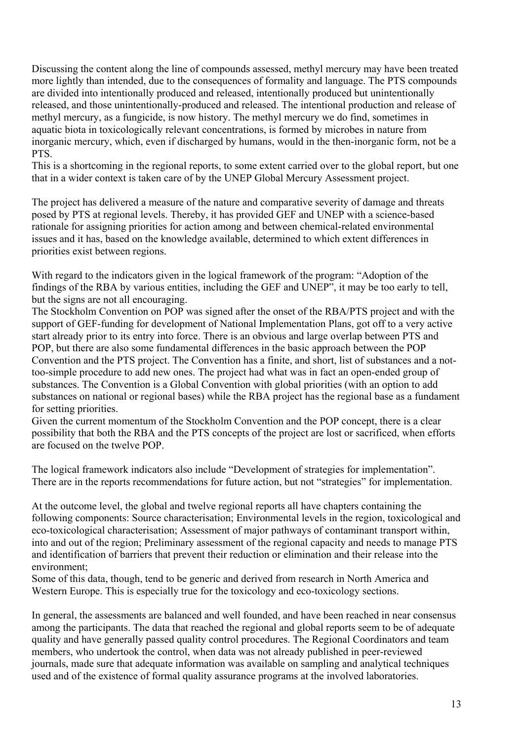Discussing the content along the line of compounds assessed, methyl mercury may have been treated more lightly than intended, due to the consequences of formality and language. The PTS compounds are divided into intentionally produced and released, intentionally produced but unintentionally released, and those unintentionally-produced and released. The intentional production and release of methyl mercury, as a fungicide, is now history. The methyl mercury we do find, sometimes in aquatic biota in toxicologically relevant concentrations, is formed by microbes in nature from inorganic mercury, which, even if discharged by humans, would in the then-inorganic form, not be a PTS.

This is a shortcoming in the regional reports, to some extent carried over to the global report, but one that in a wider context is taken care of by the UNEP Global Mercury Assessment project.

The project has delivered a measure of the nature and comparative severity of damage and threats posed by PTS at regional levels. Thereby, it has provided GEF and UNEP with a science-based rationale for assigning priorities for action among and between chemical-related environmental issues and it has, based on the knowledge available, determined to which extent differences in priorities exist between regions.

With regard to the indicators given in the logical framework of the program: "Adoption of the findings of the RBA by various entities, including the GEF and UNEP", it may be too early to tell, but the signs are not all encouraging.

The Stockholm Convention on POP was signed after the onset of the RBA/PTS project and with the support of GEF-funding for development of National Implementation Plans, got off to a very active start already prior to its entry into force. There is an obvious and large overlap between PTS and POP, but there are also some fundamental differences in the basic approach between the POP Convention and the PTS project. The Convention has a finite, and short, list of substances and a nottoo-simple procedure to add new ones. The project had what was in fact an open-ended group of substances. The Convention is a Global Convention with global priorities (with an option to add substances on national or regional bases) while the RBA project has the regional base as a fundament for setting priorities.

Given the current momentum of the Stockholm Convention and the POP concept, there is a clear possibility that both the RBA and the PTS concepts of the project are lost or sacrificed, when efforts are focused on the twelve POP.

The logical framework indicators also include "Development of strategies for implementation". There are in the reports recommendations for future action, but not "strategies" for implementation.

At the outcome level, the global and twelve regional reports all have chapters containing the following components: Source characterisation; Environmental levels in the region, toxicological and eco-toxicological characterisation; Assessment of major pathways of contaminant transport within, into and out of the region; Preliminary assessment of the regional capacity and needs to manage PTS and identification of barriers that prevent their reduction or elimination and their release into the environment;

Some of this data, though, tend to be generic and derived from research in North America and Western Europe. This is especially true for the toxicology and eco-toxicology sections.

In general, the assessments are balanced and well founded, and have been reached in near consensus among the participants. The data that reached the regional and global reports seem to be of adequate quality and have generally passed quality control procedures. The Regional Coordinators and team members, who undertook the control, when data was not already published in peer-reviewed journals, made sure that adequate information was available on sampling and analytical techniques used and of the existence of formal quality assurance programs at the involved laboratories.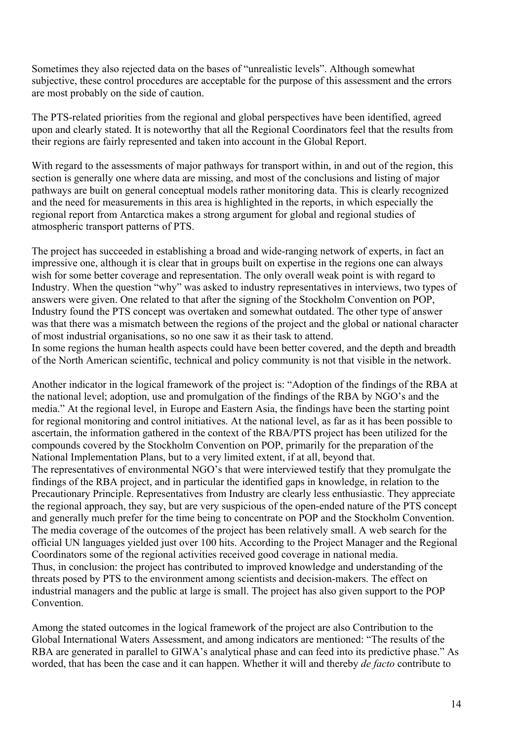Sometimes they also rejected data on the bases of "unrealistic levels". Although somewhat subjective, these control procedures are acceptable for the purpose of this assessment and the errors are most probably on the side of caution.

The PTS-related priorities from the regional and global perspectives have been identified, agreed upon and clearly stated. It is noteworthy that all the Regional Coordinators feel that the results from their regions are fairly represented and taken into account in the Global Report.

With regard to the assessments of major pathways for transport within, in and out of the region, this section is generally one where data are missing, and most of the conclusions and listing of major pathways are built on general conceptual models rather monitoring data. This is clearly recognized and the need for measurements in this area is highlighted in the reports, in which especially the regional report from Antarctica makes a strong argument for global and regional studies of atmospheric transport patterns of PTS.

The project has succeeded in establishing a broad and wide-ranging network of experts, in fact an impressive one, although it is clear that in groups built on expertise in the regions one can always wish for some better coverage and representation. The only overall weak point is with regard to Industry. When the question "why" was asked to industry representatives in interviews, two types of answers were given. One related to that after the signing of the Stockholm Convention on POP, Industry found the PTS concept was overtaken and somewhat outdated. The other type of answer was that there was a mismatch between the regions of the project and the global or national character of most industrial organisations, so no one saw it as their task to attend.

In some regions the human health aspects could have been better covered, and the depth and breadth of the North American scientific, technical and policy community is not that visible in the network.

Another indicator in the logical framework of the project is: "Adoption of the findings of the RBA at the national level; adoption, use and promulgation of the findings of the RBA by NGO's and the media." At the regional level, in Europe and Eastern Asia, the findings have been the starting point for regional monitoring and control initiatives. At the national level, as far as it has been possible to ascertain, the information gathered in the context of the RBA/PTS project has been utilized for the compounds covered by the Stockholm Convention on POP, primarily for the preparation of the National Implementation Plans, but to a very limited extent, if at all, beyond that. The representatives of environmental NGO's that were interviewed testify that they promulgate the findings of the RBA project, and in particular the identified gaps in knowledge, in relation to the Precautionary Principle. Representatives from Industry are clearly less enthusiastic. They appreciate the regional approach, they say, but are very suspicious of the open-ended nature of the PTS concept and generally much prefer for the time being to concentrate on POP and the Stockholm Convention. The media coverage of the outcomes of the project has been relatively small. A web search for the official UN languages yielded just over 100 hits. According to the Project Manager and the Regional Coordinators some of the regional activities received good coverage in national media. Thus, in conclusion: the project has contributed to improved knowledge and understanding of the threats posed by PTS to the environment among scientists and decision-makers. The effect on industrial managers and the public at large is small. The project has also given support to the POP **Convention** 

Among the stated outcomes in the logical framework of the project are also Contribution to the Global International Waters Assessment, and among indicators are mentioned: "The results of the RBA are generated in parallel to GIWA's analytical phase and can feed into its predictive phase." As worded, that has been the case and it can happen. Whether it will and thereby *de facto* contribute to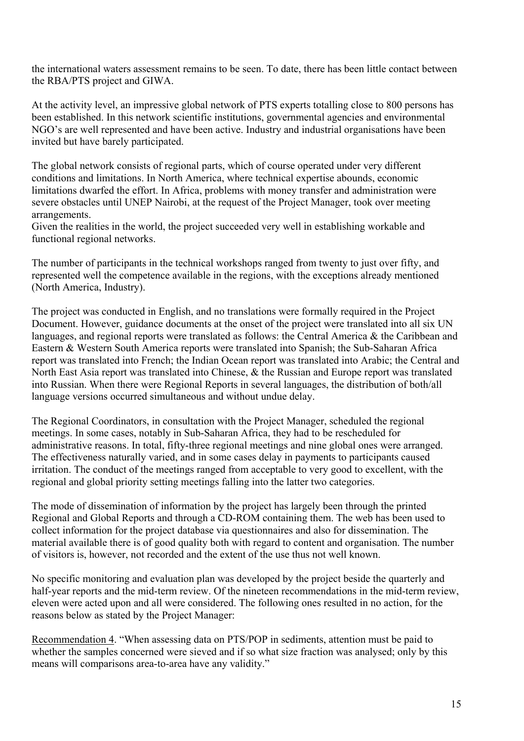the international waters assessment remains to be seen. To date, there has been little contact between the RBA/PTS project and GIWA.

At the activity level, an impressive global network of PTS experts totalling close to 800 persons has been established. In this network scientific institutions, governmental agencies and environmental NGO's are well represented and have been active. Industry and industrial organisations have been invited but have barely participated.

The global network consists of regional parts, which of course operated under very different conditions and limitations. In North America, where technical expertise abounds, economic limitations dwarfed the effort. In Africa, problems with money transfer and administration were severe obstacles until UNEP Nairobi, at the request of the Project Manager, took over meeting arrangements.

Given the realities in the world, the project succeeded very well in establishing workable and functional regional networks.

The number of participants in the technical workshops ranged from twenty to just over fifty, and represented well the competence available in the regions, with the exceptions already mentioned (North America, Industry).

The project was conducted in English, and no translations were formally required in the Project Document. However, guidance documents at the onset of the project were translated into all six UN languages, and regional reports were translated as follows: the Central America & the Caribbean and Eastern & Western South America reports were translated into Spanish; the Sub-Saharan Africa report was translated into French; the Indian Ocean report was translated into Arabic; the Central and North East Asia report was translated into Chinese, & the Russian and Europe report was translated into Russian. When there were Regional Reports in several languages, the distribution of both/all language versions occurred simultaneous and without undue delay.

The Regional Coordinators, in consultation with the Project Manager, scheduled the regional meetings. In some cases, notably in Sub-Saharan Africa, they had to be rescheduled for administrative reasons. In total, fifty-three regional meetings and nine global ones were arranged. The effectiveness naturally varied, and in some cases delay in payments to participants caused irritation. The conduct of the meetings ranged from acceptable to very good to excellent, with the regional and global priority setting meetings falling into the latter two categories.

The mode of dissemination of information by the project has largely been through the printed Regional and Global Reports and through a CD-ROM containing them. The web has been used to collect information for the project database via questionnaires and also for dissemination. The material available there is of good quality both with regard to content and organisation. The number of visitors is, however, not recorded and the extent of the use thus not well known.

No specific monitoring and evaluation plan was developed by the project beside the quarterly and half-year reports and the mid-term review. Of the nineteen recommendations in the mid-term review, eleven were acted upon and all were considered. The following ones resulted in no action, for the reasons below as stated by the Project Manager:

Recommendation 4. "When assessing data on PTS/POP in sediments, attention must be paid to whether the samples concerned were sieved and if so what size fraction was analysed; only by this means will comparisons area-to-area have any validity."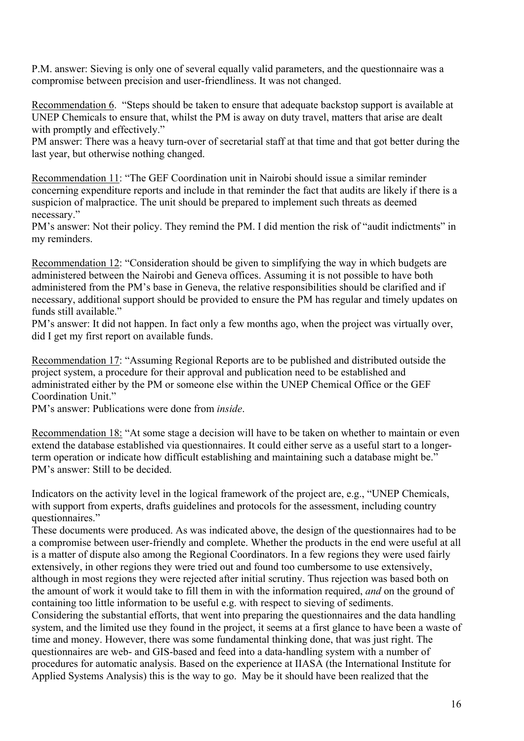P.M. answer: Sieving is only one of several equally valid parameters, and the questionnaire was a compromise between precision and user-friendliness. It was not changed.

Recommendation 6. "Steps should be taken to ensure that adequate backstop support is available at UNEP Chemicals to ensure that, whilst the PM is away on duty travel, matters that arise are dealt with promptly and effectively."

PM answer: There was a heavy turn-over of secretarial staff at that time and that got better during the last year, but otherwise nothing changed.

Recommendation 11: "The GEF Coordination unit in Nairobi should issue a similar reminder concerning expenditure reports and include in that reminder the fact that audits are likely if there is a suspicion of malpractice. The unit should be prepared to implement such threats as deemed necessary."

PM's answer: Not their policy. They remind the PM. I did mention the risk of "audit indictments" in my reminders.

Recommendation 12: "Consideration should be given to simplifying the way in which budgets are administered between the Nairobi and Geneva offices. Assuming it is not possible to have both administered from the PM's base in Geneva, the relative responsibilities should be clarified and if necessary, additional support should be provided to ensure the PM has regular and timely updates on funds still available."

PM's answer: It did not happen. In fact only a few months ago, when the project was virtually over, did I get my first report on available funds.

Recommendation 17: "Assuming Regional Reports are to be published and distributed outside the project system, a procedure for their approval and publication need to be established and administrated either by the PM or someone else within the UNEP Chemical Office or the GEF Coordination Unit."

PM's answer: Publications were done from *inside*.

Recommendation 18: "At some stage a decision will have to be taken on whether to maintain or even extend the database established via questionnaires. It could either serve as a useful start to a longerterm operation or indicate how difficult establishing and maintaining such a database might be." PM's answer: Still to be decided.

Indicators on the activity level in the logical framework of the project are, e.g., "UNEP Chemicals, with support from experts, drafts guidelines and protocols for the assessment, including country questionnaires."

These documents were produced. As was indicated above, the design of the questionnaires had to be a compromise between user-friendly and complete. Whether the products in the end were useful at all is a matter of dispute also among the Regional Coordinators. In a few regions they were used fairly extensively, in other regions they were tried out and found too cumbersome to use extensively, although in most regions they were rejected after initial scrutiny. Thus rejection was based both on the amount of work it would take to fill them in with the information required, *and* on the ground of containing too little information to be useful e.g. with respect to sieving of sediments.

Considering the substantial efforts, that went into preparing the questionnaires and the data handling system, and the limited use they found in the project, it seems at a first glance to have been a waste of time and money. However, there was some fundamental thinking done, that was just right. The questionnaires are web- and GIS-based and feed into a data-handling system with a number of procedures for automatic analysis. Based on the experience at IIASA (the International Institute for Applied Systems Analysis) this is the way to go. May be it should have been realized that the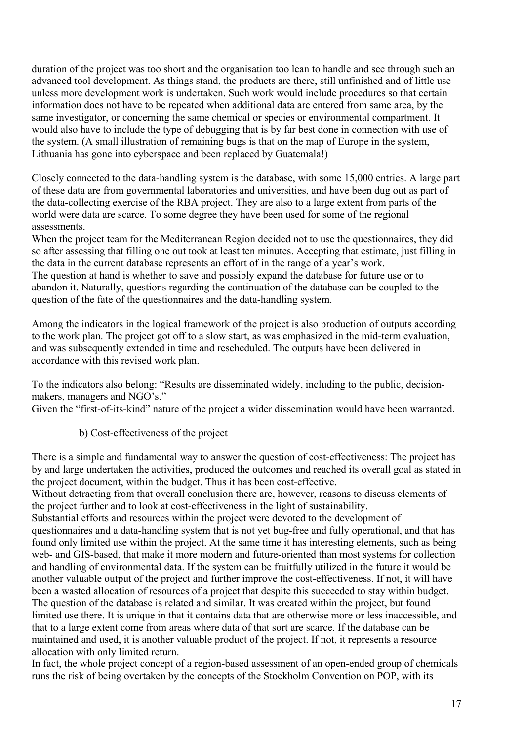duration of the project was too short and the organisation too lean to handle and see through such an advanced tool development. As things stand, the products are there, still unfinished and of little use unless more development work is undertaken. Such work would include procedures so that certain information does not have to be repeated when additional data are entered from same area, by the same investigator, or concerning the same chemical or species or environmental compartment. It would also have to include the type of debugging that is by far best done in connection with use of the system. (A small illustration of remaining bugs is that on the map of Europe in the system, Lithuania has gone into cyberspace and been replaced by Guatemala!)

Closely connected to the data-handling system is the database, with some 15,000 entries. A large part of these data are from governmental laboratories and universities, and have been dug out as part of the data-collecting exercise of the RBA project. They are also to a large extent from parts of the world were data are scarce. To some degree they have been used for some of the regional assessments.

When the project team for the Mediterranean Region decided not to use the questionnaires, they did so after assessing that filling one out took at least ten minutes. Accepting that estimate, just filling in the data in the current database represents an effort of in the range of a year's work. The question at hand is whether to save and possibly expand the database for future use or to abandon it. Naturally, questions regarding the continuation of the database can be coupled to the question of the fate of the questionnaires and the data-handling system.

Among the indicators in the logical framework of the project is also production of outputs according to the work plan. The project got off to a slow start, as was emphasized in the mid-term evaluation, and was subsequently extended in time and rescheduled. The outputs have been delivered in accordance with this revised work plan.

To the indicators also belong: "Results are disseminated widely, including to the public, decisionmakers, managers and NGO's."

Given the "first-of-its-kind" nature of the project a wider dissemination would have been warranted.

b) Cost-effectiveness of the project

There is a simple and fundamental way to answer the question of cost-effectiveness: The project has by and large undertaken the activities, produced the outcomes and reached its overall goal as stated in the project document, within the budget. Thus it has been cost-effective.

Without detracting from that overall conclusion there are, however, reasons to discuss elements of the project further and to look at cost-effectiveness in the light of sustainability.

Substantial efforts and resources within the project were devoted to the development of questionnaires and a data-handling system that is not yet bug-free and fully operational, and that has found only limited use within the project. At the same time it has interesting elements, such as being web- and GIS-based, that make it more modern and future-oriented than most systems for collection and handling of environmental data. If the system can be fruitfully utilized in the future it would be another valuable output of the project and further improve the cost-effectiveness. If not, it will have been a wasted allocation of resources of a project that despite this succeeded to stay within budget. The question of the database is related and similar. It was created within the project, but found limited use there. It is unique in that it contains data that are otherwise more or less inaccessible, and that to a large extent come from areas where data of that sort are scarce. If the database can be maintained and used, it is another valuable product of the project. If not, it represents a resource allocation with only limited return.

In fact, the whole project concept of a region-based assessment of an open-ended group of chemicals runs the risk of being overtaken by the concepts of the Stockholm Convention on POP, with its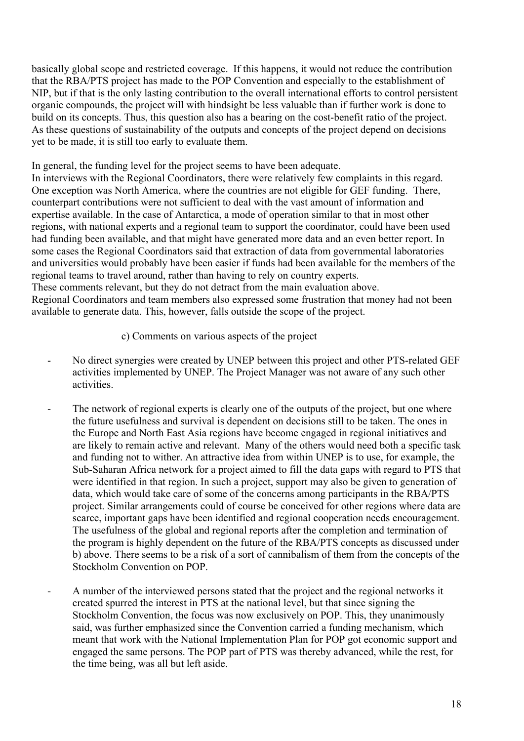basically global scope and restricted coverage. If this happens, it would not reduce the contribution that the RBA/PTS project has made to the POP Convention and especially to the establishment of NIP, but if that is the only lasting contribution to the overall international efforts to control persistent organic compounds, the project will with hindsight be less valuable than if further work is done to build on its concepts. Thus, this question also has a bearing on the cost-benefit ratio of the project. As these questions of sustainability of the outputs and concepts of the project depend on decisions yet to be made, it is still too early to evaluate them.

In general, the funding level for the project seems to have been adequate.

In interviews with the Regional Coordinators, there were relatively few complaints in this regard. One exception was North America, where the countries are not eligible for GEF funding. There, counterpart contributions were not sufficient to deal with the vast amount of information and expertise available. In the case of Antarctica, a mode of operation similar to that in most other regions, with national experts and a regional team to support the coordinator, could have been used had funding been available, and that might have generated more data and an even better report. In some cases the Regional Coordinators said that extraction of data from governmental laboratories and universities would probably have been easier if funds had been available for the members of the regional teams to travel around, rather than having to rely on country experts. These comments relevant, but they do not detract from the main evaluation above. Regional Coordinators and team members also expressed some frustration that money had not been

available to generate data. This, however, falls outside the scope of the project.

- c) Comments on various aspects of the project
- No direct synergies were created by UNEP between this project and other PTS-related GEF activities implemented by UNEP. The Project Manager was not aware of any such other activities.
- The network of regional experts is clearly one of the outputs of the project, but one where the future usefulness and survival is dependent on decisions still to be taken. The ones in the Europe and North East Asia regions have become engaged in regional initiatives and are likely to remain active and relevant. Many of the others would need both a specific task and funding not to wither. An attractive idea from within UNEP is to use, for example, the Sub-Saharan Africa network for a project aimed to fill the data gaps with regard to PTS that were identified in that region. In such a project, support may also be given to generation of data, which would take care of some of the concerns among participants in the RBA/PTS project. Similar arrangements could of course be conceived for other regions where data are scarce, important gaps have been identified and regional cooperation needs encouragement. The usefulness of the global and regional reports after the completion and termination of the program is highly dependent on the future of the RBA/PTS concepts as discussed under b) above. There seems to be a risk of a sort of cannibalism of them from the concepts of the Stockholm Convention on POP.
- A number of the interviewed persons stated that the project and the regional networks it created spurred the interest in PTS at the national level, but that since signing the Stockholm Convention, the focus was now exclusively on POP. This, they unanimously said, was further emphasized since the Convention carried a funding mechanism, which meant that work with the National Implementation Plan for POP got economic support and engaged the same persons. The POP part of PTS was thereby advanced, while the rest, for the time being, was all but left aside.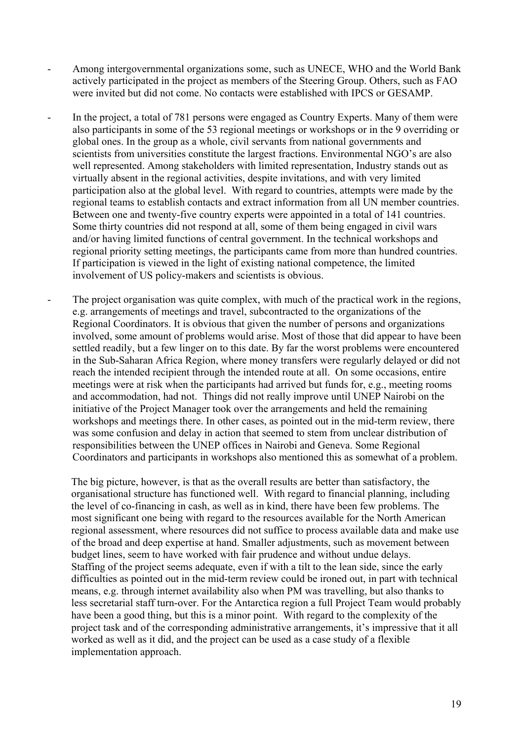- Among intergovernmental organizations some, such as UNECE, WHO and the World Bank actively participated in the project as members of the Steering Group. Others, such as FAO were invited but did not come. No contacts were established with IPCS or GESAMP.
- In the project, a total of 781 persons were engaged as Country Experts. Many of them were also participants in some of the 53 regional meetings or workshops or in the 9 overriding or global ones. In the group as a whole, civil servants from national governments and scientists from universities constitute the largest fractions. Environmental NGO's are also well represented. Among stakeholders with limited representation, Industry stands out as virtually absent in the regional activities, despite invitations, and with very limited participation also at the global level. With regard to countries, attempts were made by the regional teams to establish contacts and extract information from all UN member countries. Between one and twenty-five country experts were appointed in a total of 141 countries. Some thirty countries did not respond at all, some of them being engaged in civil wars and/or having limited functions of central government. In the technical workshops and regional priority setting meetings, the participants came from more than hundred countries. If participation is viewed in the light of existing national competence, the limited involvement of US policy-makers and scientists is obvious.
	- The project organisation was quite complex, with much of the practical work in the regions, e.g. arrangements of meetings and travel, subcontracted to the organizations of the Regional Coordinators. It is obvious that given the number of persons and organizations involved, some amount of problems would arise. Most of those that did appear to have been settled readily, but a few linger on to this date. By far the worst problems were encountered in the Sub-Saharan Africa Region, where money transfers were regularly delayed or did not reach the intended recipient through the intended route at all. On some occasions, entire meetings were at risk when the participants had arrived but funds for, e.g., meeting rooms and accommodation, had not. Things did not really improve until UNEP Nairobi on the initiative of the Project Manager took over the arrangements and held the remaining workshops and meetings there. In other cases, as pointed out in the mid-term review, there was some confusion and delay in action that seemed to stem from unclear distribution of responsibilities between the UNEP offices in Nairobi and Geneva. Some Regional Coordinators and participants in workshops also mentioned this as somewhat of a problem.

 The big picture, however, is that as the overall results are better than satisfactory, the organisational structure has functioned well. With regard to financial planning, including the level of co-financing in cash, as well as in kind, there have been few problems. The most significant one being with regard to the resources available for the North American regional assessment, where resources did not suffice to process available data and make use of the broad and deep expertise at hand. Smaller adjustments, such as movement between budget lines, seem to have worked with fair prudence and without undue delays. Staffing of the project seems adequate, even if with a tilt to the lean side, since the early difficulties as pointed out in the mid-term review could be ironed out, in part with technical means, e.g. through internet availability also when PM was travelling, but also thanks to less secretarial staff turn-over. For the Antarctica region a full Project Team would probably have been a good thing, but this is a minor point. With regard to the complexity of the project task and of the corresponding administrative arrangements, it's impressive that it all worked as well as it did, and the project can be used as a case study of a flexible implementation approach.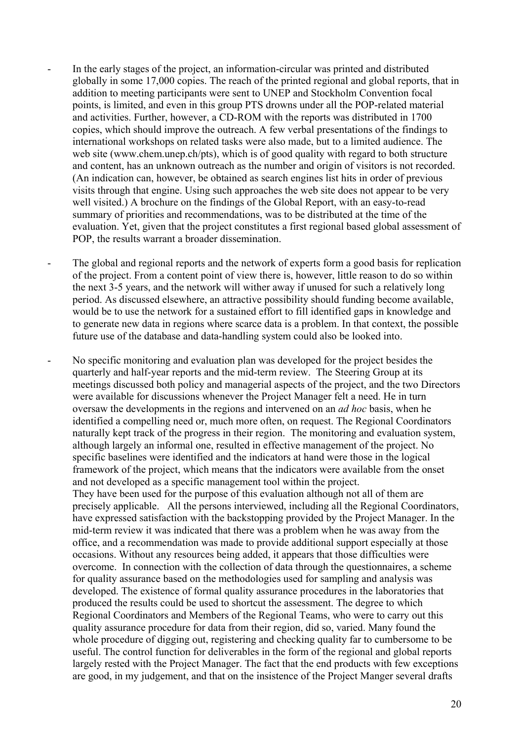- In the early stages of the project, an information-circular was printed and distributed globally in some 17,000 copies. The reach of the printed regional and global reports, that in addition to meeting participants were sent to UNEP and Stockholm Convention focal points, is limited, and even in this group PTS drowns under all the POP-related material and activities. Further, however, a CD-ROM with the reports was distributed in 1700 copies, which should improve the outreach. A few verbal presentations of the findings to international workshops on related tasks were also made, but to a limited audience. The web site (www.chem.unep.ch/pts), which is of good quality with regard to both structure and content, has an unknown outreach as the number and origin of visitors is not recorded. (An indication can, however, be obtained as search engines list hits in order of previous visits through that engine. Using such approaches the web site does not appear to be very well visited.) A brochure on the findings of the Global Report, with an easy-to-read summary of priorities and recommendations, was to be distributed at the time of the evaluation. Yet, given that the project constitutes a first regional based global assessment of POP, the results warrant a broader dissemination.
- The global and regional reports and the network of experts form a good basis for replication of the project. From a content point of view there is, however, little reason to do so within the next 3-5 years, and the network will wither away if unused for such a relatively long period. As discussed elsewhere, an attractive possibility should funding become available, would be to use the network for a sustained effort to fill identified gaps in knowledge and to generate new data in regions where scarce data is a problem. In that context, the possible future use of the database and data-handling system could also be looked into.
- No specific monitoring and evaluation plan was developed for the project besides the quarterly and half-year reports and the mid-term review. The Steering Group at its meetings discussed both policy and managerial aspects of the project, and the two Directors were available for discussions whenever the Project Manager felt a need. He in turn oversaw the developments in the regions and intervened on an *ad hoc* basis, when he identified a compelling need or, much more often, on request. The Regional Coordinators naturally kept track of the progress in their region. The monitoring and evaluation system, although largely an informal one, resulted in effective management of the project. No specific baselines were identified and the indicators at hand were those in the logical framework of the project, which means that the indicators were available from the onset and not developed as a specific management tool within the project. They have been used for the purpose of this evaluation although not all of them are precisely applicable. All the persons interviewed, including all the Regional Coordinators, have expressed satisfaction with the backstopping provided by the Project Manager. In the mid-term review it was indicated that there was a problem when he was away from the office, and a recommendation was made to provide additional support especially at those occasions. Without any resources being added, it appears that those difficulties were overcome. In connection with the collection of data through the questionnaires, a scheme for quality assurance based on the methodologies used for sampling and analysis was developed. The existence of formal quality assurance procedures in the laboratories that produced the results could be used to shortcut the assessment. The degree to which Regional Coordinators and Members of the Regional Teams, who were to carry out this quality assurance procedure for data from their region, did so, varied. Many found the whole procedure of digging out, registering and checking quality far to cumbersome to be useful. The control function for deliverables in the form of the regional and global reports largely rested with the Project Manager. The fact that the end products with few exceptions are good, in my judgement, and that on the insistence of the Project Manger several drafts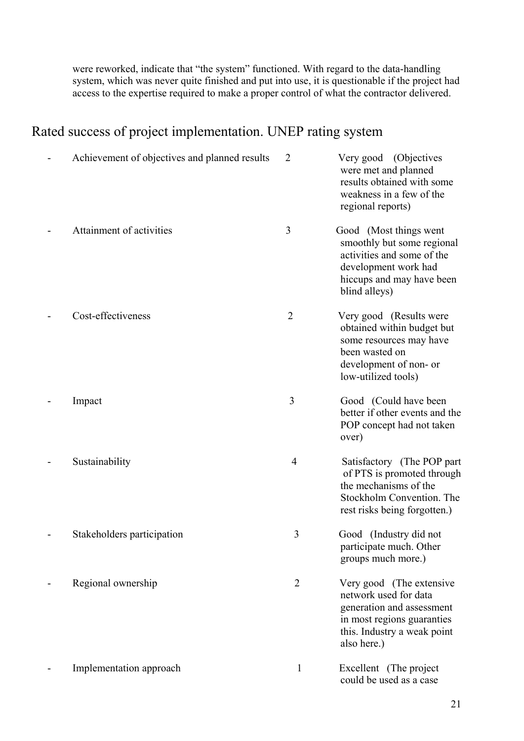were reworked, indicate that "the system" functioned. With regard to the data-handling system, which was never quite finished and put into use, it is questionable if the project had access to the expertise required to make a proper control of what the contractor delivered.

## Rated success of project implementation. UNEP rating system

| Achievement of objectives and planned results | $\overline{2}$ | Very good (Objectives<br>were met and planned<br>results obtained with some<br>weakness in a few of the<br>regional reports)                               |
|-----------------------------------------------|----------------|------------------------------------------------------------------------------------------------------------------------------------------------------------|
| Attainment of activities                      | 3              | Good (Most things went<br>smoothly but some regional<br>activities and some of the<br>development work had<br>hiccups and may have been<br>blind alleys)   |
| Cost-effectiveness                            | 2              | Very good (Results were<br>obtained within budget but<br>some resources may have<br>been wasted on<br>development of non- or<br>low-utilized tools)        |
| Impact                                        | 3              | Good (Could have been<br>better if other events and the<br>POP concept had not taken<br>over)                                                              |
| Sustainability                                | $\overline{4}$ | Satisfactory (The POP part<br>of PTS is promoted through<br>the mechanisms of the<br>Stockholm Convention. The<br>rest risks being forgotten.)             |
| Stakeholders participation                    | 3              | Good (Industry did not<br>participate much. Other<br>groups much more.)                                                                                    |
| Regional ownership                            | $\overline{2}$ | Very good (The extensive<br>network used for data<br>generation and assessment<br>in most regions guaranties<br>this. Industry a weak point<br>also here.) |
| Implementation approach                       | $\mathbf{1}$   | Excellent (The project<br>could be used as a case                                                                                                          |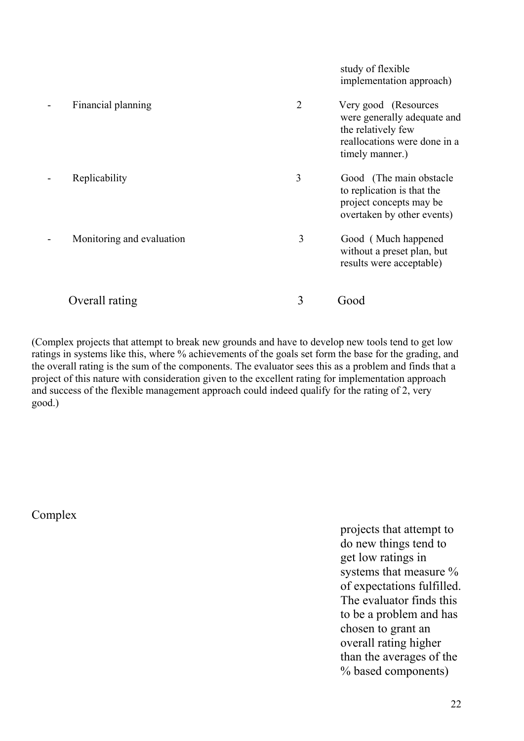|                           |                | study of flexible<br>implementation approach)                                                                                |
|---------------------------|----------------|------------------------------------------------------------------------------------------------------------------------------|
| Financial planning        | $\overline{2}$ | Very good (Resources<br>were generally adequate and<br>the relatively few<br>reallocations were done in a<br>timely manner.) |
| Replicability             | 3              | Good (The main obstacle)<br>to replication is that the<br>project concepts may be<br>overtaken by other events)              |
| Monitoring and evaluation | 3              | Good (Much happened<br>without a preset plan, but<br>results were acceptable)                                                |
| Overall rating            | 3              | Good                                                                                                                         |

(Complex projects that attempt to break new grounds and have to develop new tools tend to get low ratings in systems like this, where % achievements of the goals set form the base for the grading, and the overall rating is the sum of the components. The evaluator sees this as a problem and finds that a project of this nature with consideration given to the excellent rating for implementation approach and success of the flexible management approach could indeed qualify for the rating of 2, very good.)

Complex

projects that attempt to do new things tend to get low ratings in systems that measure % of expectations fulfilled. The evaluator finds this to be a problem and has chosen to grant an overall rating higher than the averages of the % based components)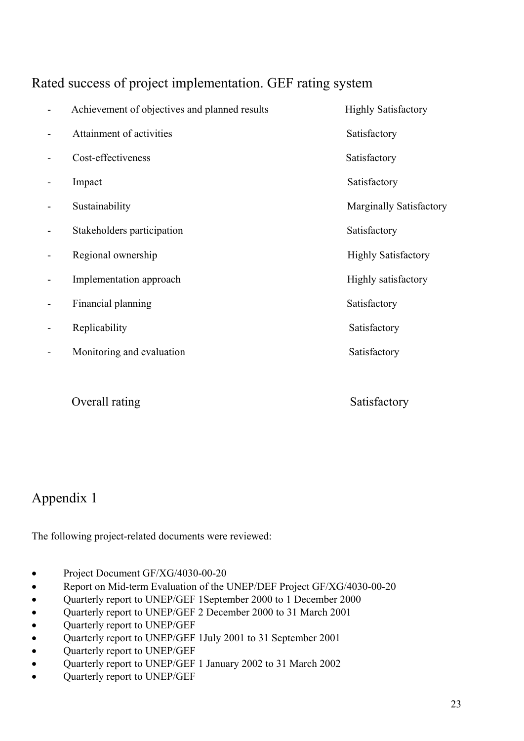### Rated success of project implementation. GEF rating system

| Achievement of objectives and planned results | <b>Highly Satisfactory</b> |
|-----------------------------------------------|----------------------------|
| Attainment of activities                      | Satisfactory               |
| Cost-effectiveness                            | Satisfactory               |
| Impact                                        | Satisfactory               |
| Sustainability                                | Marginally Satisfactory    |
| Stakeholders participation                    | Satisfactory               |
| Regional ownership                            | <b>Highly Satisfactory</b> |
| Implementation approach                       | Highly satisfactory        |
| Financial planning                            | Satisfactory               |
| Replicability                                 | Satisfactory               |
| Monitoring and evaluation                     | Satisfactory               |
|                                               |                            |
| Overall rating                                | Satisfactory               |

# Appendix 1

The following project-related documents were reviewed:

- Project Document GF/XG/4030-00-20
- Report on Mid-term Evaluation of the UNEP/DEF Project GF/XG/4030-00-20
- Quarterly report to UNEP/GEF 1September 2000 to 1 December 2000
- Quarterly report to UNEP/GEF 2 December 2000 to 31 March 2001
- Quarterly report to UNEP/GEF
- Quarterly report to UNEP/GEF 1July 2001 to 31 September 2001
- Quarterly report to UNEP/GEF
- Quarterly report to UNEP/GEF 1 January 2002 to 31 March 2002
- Quarterly report to UNEP/GEF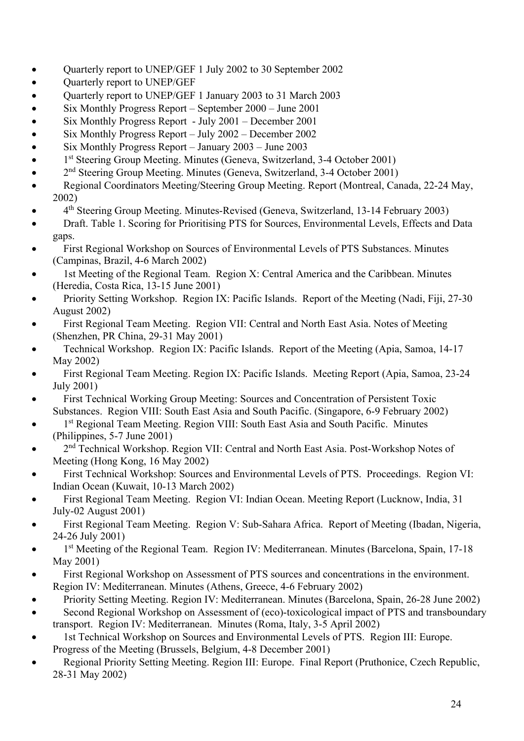- Quarterly report to UNEP/GEF 1 July 2002 to 30 September 2002
- Quarterly report to UNEP/GEF
- Quarterly report to UNEP/GEF 1 January 2003 to 31 March 2003
- Six Monthly Progress Report September 2000 June 2001
- Six Monthly Progress Report July 2001 December 2001
- Six Monthly Progress Report July 2002 December 2002
- Six Monthly Progress Report January 2003 June 2003
- 1<sup>st</sup> Steering Group Meeting. Minutes (Geneva, Switzerland, 3-4 October 2001)
- 2<sup>nd</sup> Steering Group Meeting. Minutes (Geneva, Switzerland, 3-4 October 2001)
- Regional Coordinators Meeting/Steering Group Meeting. Report (Montreal, Canada, 22-24 May, 2002)
- 4th Steering Group Meeting. Minutes-Revised (Geneva, Switzerland, 13-14 February 2003)
- Draft. Table 1. Scoring for Prioritising PTS for Sources, Environmental Levels, Effects and Data gaps.
- First Regional Workshop on Sources of Environmental Levels of PTS Substances. Minutes (Campinas, Brazil, 4-6 March 2002)
- 1st Meeting of the Regional Team. Region X: Central America and the Caribbean. Minutes (Heredia, Costa Rica, 13-15 June 2001)
- Priority Setting Workshop. Region IX: Pacific Islands. Report of the Meeting (Nadi, Fiji, 27-30 August 2002)
- First Regional Team Meeting. Region VII: Central and North East Asia. Notes of Meeting (Shenzhen, PR China, 29-31 May 2001)
- Technical Workshop. Region IX: Pacific Islands. Report of the Meeting (Apia, Samoa, 14-17 May 2002)
- First Regional Team Meeting. Region IX: Pacific Islands. Meeting Report (Apia, Samoa, 23-24 July 2001)
- First Technical Working Group Meeting: Sources and Concentration of Persistent Toxic Substances. Region VIII: South East Asia and South Pacific. (Singapore, 6-9 February 2002)
- 1<sup>st</sup> Regional Team Meeting. Region VIII: South East Asia and South Pacific. Minutes (Philippines, 5-7 June 2001)
- 2<sup>nd</sup> Technical Workshop. Region VII: Central and North East Asia. Post-Workshop Notes of Meeting (Hong Kong, 16 May 2002)
- First Technical Workshop: Sources and Environmental Levels of PTS. Proceedings. Region VI: Indian Ocean (Kuwait, 10-13 March 2002)
- First Regional Team Meeting. Region VI: Indian Ocean. Meeting Report (Lucknow, India, 31 July-02 August 2001)
- First Regional Team Meeting. Region V: Sub-Sahara Africa. Report of Meeting (Ibadan, Nigeria, 24-26 July 2001)
- 1<sup>st</sup> Meeting of the Regional Team. Region IV: Mediterranean. Minutes (Barcelona, Spain, 17-18 May 2001)
- First Regional Workshop on Assessment of PTS sources and concentrations in the environment. Region IV: Mediterranean. Minutes (Athens, Greece, 4-6 February 2002)
- Priority Setting Meeting. Region IV: Mediterranean. Minutes (Barcelona, Spain, 26-28 June 2002)
- Second Regional Workshop on Assessment of (eco)-toxicological impact of PTS and transboundary transport. Region IV: Mediterranean. Minutes (Roma, Italy, 3-5 April 2002)
- 1st Technical Workshop on Sources and Environmental Levels of PTS. Region III: Europe. Progress of the Meeting (Brussels, Belgium, 4-8 December 2001)
- Regional Priority Setting Meeting. Region III: Europe. Final Report (Pruthonice, Czech Republic, 28-31 May 2002)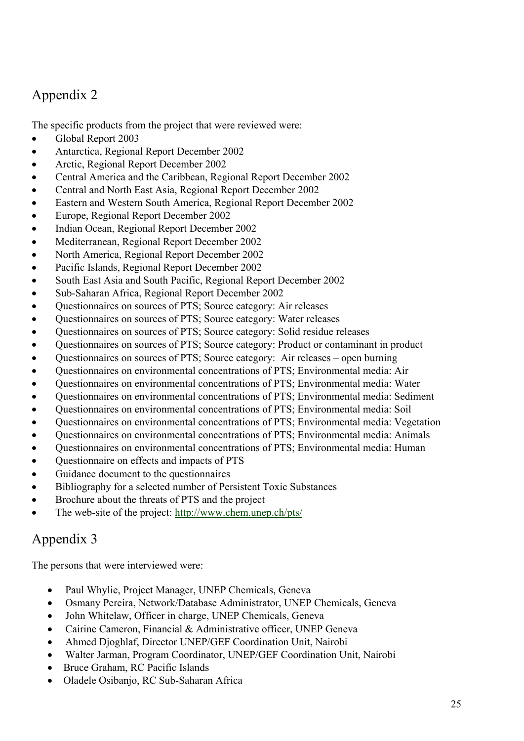# Appendix 2

The specific products from the project that were reviewed were:

- Global Report 2003
- Antarctica, Regional Report December 2002
- Arctic, Regional Report December 2002
- Central America and the Caribbean, Regional Report December 2002
- Central and North East Asia, Regional Report December 2002
- Eastern and Western South America, Regional Report December 2002
- Europe, Regional Report December 2002
- Indian Ocean, Regional Report December 2002
- Mediterranean, Regional Report December 2002
- North America, Regional Report December 2002
- Pacific Islands, Regional Report December 2002
- South East Asia and South Pacific, Regional Report December 2002
- Sub-Saharan Africa, Regional Report December 2002
- Questionnaires on sources of PTS; Source category: Air releases
- Questionnaires on sources of PTS; Source category: Water releases
- Questionnaires on sources of PTS; Source category: Solid residue releases
- Questionnaires on sources of PTS; Source category: Product or contaminant in product
- Questionnaires on sources of PTS; Source category: Air releases open burning
- Questionnaires on environmental concentrations of PTS; Environmental media: Air
- Questionnaires on environmental concentrations of PTS; Environmental media: Water
- Questionnaires on environmental concentrations of PTS; Environmental media: Sediment
- Questionnaires on environmental concentrations of PTS; Environmental media: Soil
- Questionnaires on environmental concentrations of PTS; Environmental media: Vegetation
- Questionnaires on environmental concentrations of PTS; Environmental media: Animals
- Questionnaires on environmental concentrations of PTS; Environmental media: Human
- Questionnaire on effects and impacts of PTS
- Guidance document to the questionnaires
- Bibliography for a selected number of Persistent Toxic Substances
- Brochure about the threats of PTS and the project
- The web-site of the project:<http://www.chem.unep.ch/pts/>

## Appendix 3

The persons that were interviewed were:

- Paul Whylie, Project Manager, UNEP Chemicals, Geneva
- Osmany Pereira, Network/Database Administrator, UNEP Chemicals, Geneva
- John Whitelaw, Officer in charge, UNEP Chemicals, Geneva
- Cairine Cameron, Financial & Administrative officer, UNEP Geneva
- Ahmed Djoghlaf, Director UNEP/GEF Coordination Unit, Nairobi
- Walter Jarman, Program Coordinator, UNEP/GEF Coordination Unit, Nairobi
- Bruce Graham, RC Pacific Islands
- Oladele Osibanjo, RC Sub-Saharan Africa